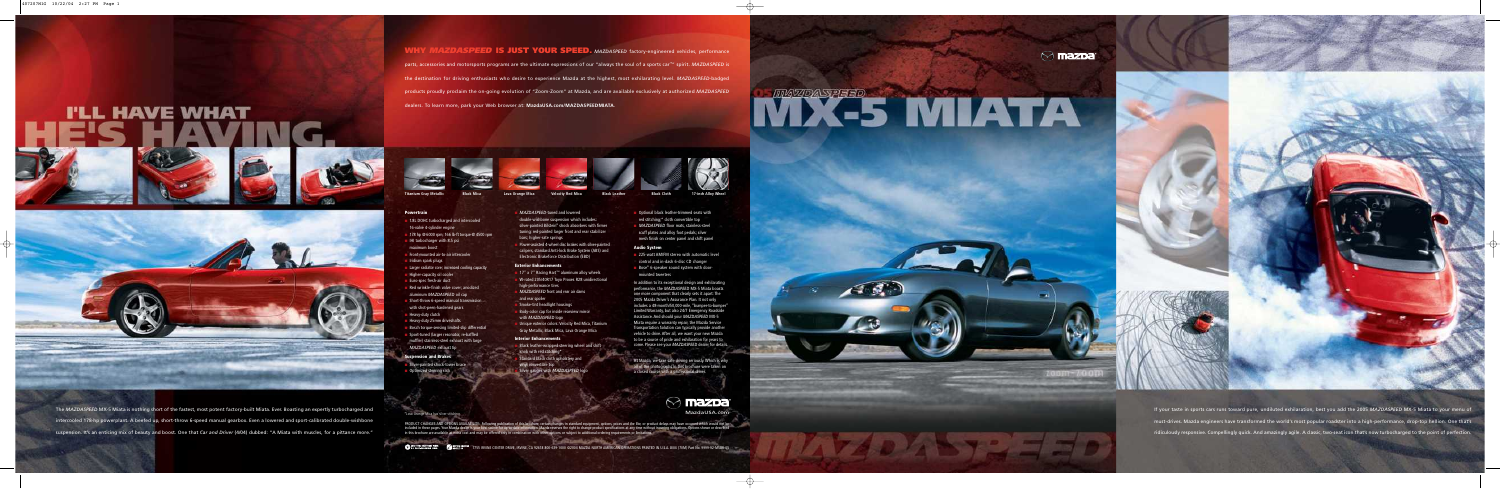**Titanium Gray Metallic Velocity Red Mica Black Mica Lava Orange Mica Black Leather Black Cloth 17-inch Alloy Wheel**

The *MAZDASPEED* MX-5 Miata is nothing short of the fastest, most potent factory-built Miata. Ever. Boasting an expertly turbocharged and intercooled 178-hp powerplant. A beefed up, short-throw 6-speed manual gearbox. Even a lowered and sport-calibrated double-wishbone suspension. It's an enticing mix of beauty and boost. One that *Car and Driver* (4/04) dubbed: "A Miata with muscles, for a pittance more."

**WHY MAZDASPEED IS JUST YOUR SPEED.** MAZDASPEED factory-engineered vehicles, performance parts, accessories and motorsports programs are the ultimate expressions of our "always the soul of a sports car™" spirit. *MAZDASPEED* is the destination for driving enthusiasts who desire to experience Mazda at the highest, most exhilarating level. *MAZDASPEED*-badged products proudly proclaim the on-going evolution of "Zoom-Zoom" at Mazda, and are available exclusively at authorized *MAZDASPEED* dealers. To learn more, park your Web browser at: **MazdaUSA.com/MAZDASPEEDMIATA**.



\*Lava Orange Mica has silver stitching.

- 1.8L DOHC turbocharged and intercooled 16-valve 4-cylinder engine
- 178 hp @ 6000 rpm; 166 lb-ft torque @ 4500 rpm
- IHI turbocharger with 8.5 psi
- maximum boost
- Front-mounted air-to-air intercooler
- Iridium spark plugs
- Larger radiator core; increased cooling capacity
- Higher-capacity oil cooler
- Euro-spec fresh-air duct
- Red wrinkle-finish valve cover; anodized aluminum *MAZDASPEED* oil cap
- Short-throw 6-speed manual transmission with shot-peen-hardened gears
- Heavy-duty clutch
- Heavy-duty 25mm driveshafts
- Bosch torque-sensing limited-slip differential
- Sport-tuned (larger resonator, re-baffled muffler) stainless-steel exhaust with large *MAZDASPEED* exhaust tip

PRODUCT CHANGES AND OPTIONS AVAILABILITY: Following publication of this brochure, certain changes in standard equipment, options, prices and the like, or product delays may have occurred which would not be included in these pages. Your Mazda dealer is your best source for up-to-date information. Mazda reserves the right to change product specifications at any time without incurring obligations. Options shown or described in this brochure are available at extra cost and may be offered only in combination with other options or subject to additional ordering requirements or limitations.

**Contract and Contract Contract** 









- 17" x 7" Racing Hart<sup>™</sup> aluminum alloy wheels W-rated 205/40R17 Toyo Proxes R28 unidirectional
- high-performance tires
- **MAZDASPEED** front and rear air dams and rear spoiler
- Smoke-tint headlight housings
- Body-color cap for inside rearview mirror with *MAZDASPEED* logo
- Unique exterior colors: Velocity Red Mica, Titanium Gray Metallic, Black Mica, Lava Orange Mica

Black leather-wrapped steering wheel and shift knob with red stitching\*

### **Powertrain**

- Standard black cloth upholstery and
- vinyl convertible top
- Silver gauges with *MAZDASPEED* logo



- 225-watt AM/FM stereo with automatic level control and in-dash 6-disc CD changer
- Bose® 6-speaker sound system with doormounted tweeters

### **Suspension and Brakes**

- Silver-painted shock-tower brace Optimized steering rack
- 
- *MAZDASPEED*-tuned and lowered double-wishbone suspension which includes: silver-painted Bilstein® shock absorbers with firmer tuning; red-painted larger front and rear stabilizer bars; higher-rate springs
- Power-assisted 4-wheel disc brakes with silver-painted calipers, standard Anti-lock Brake System (ABS) and Electronic Brakeforce Distribution (EBD)

## **Exterior Enhancements**

### **Interior Enhancements**

- Optional black leather-trimmed seats with red stitching;\* cloth convertible top
- *MAZDASPEED* floor mats, stainless-steel scuff plates and alloy foot pedals; silver mesh finish on center panel and shift panel

### **Audio System**

In addition to its exceptional design and exhilarating performance, the *MAZDASPEED* MX-5 Miata boasts one more component that clearly sets it apart: The 2005 Mazda Driver's Assurance Plan. It not only includes a 48-month/50,000-mile, "bumper-to-bumper Limited Warranty, but also 24/7 Emergency Roadside Assistance. And should your *MAZDASPEED* MX-5 Miata require a warranty repair, the Mazda Service Transportation Solution can typically provide another vehicle to drive. After all, we want your new Mazda to be a source of pride and exhilaration for years to come. Please see your *MAZDASPEED* dealer for details.

At Mazda, we take safe driving seriously. Which is why all of the photographs in this brochure were taken on a closed course with a professional driver.

> If your taste in sports cars runs toward pure, undiluted exhilaration, best you add the 2005 *MAZDASPEED* MX-5 Miata to your menu of must-drives. Mazda engineers have transformed the world's most popular roadster into a high-performance, drop-top hellion. One that's ridiculously responsive. Compellingly quick. And amazingly agile. A classic, two-seat icon that's now turbocharged to the point of perfection.



**CO** 10X TOTAL RECOVERED FIBER (SO BUCKLE UP 2755 IRVINE CENTER DRIVE, IRVINE, CA 92618 800-639-1000 ©2004 MAZDA NORTH AMERICAN OPERATIONS PRINTED IN U.S.A. 8/04 (70M) Part No. 9999-92-M5BR-05

# NY X-5 MIATA